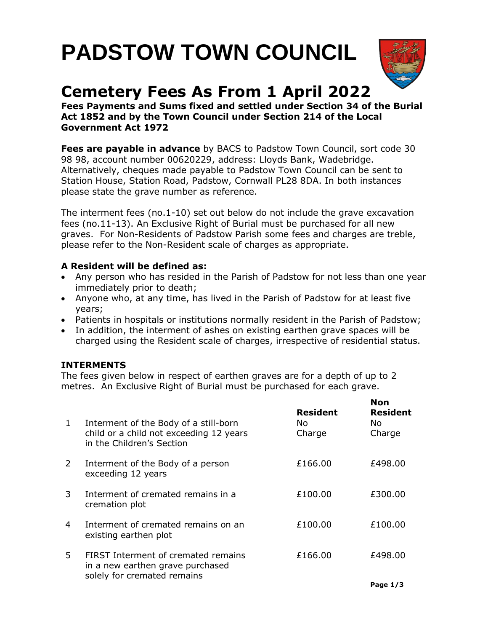# **PADSTOW TOWN COUNCIL**



# **Cemetery Fees As From 1 April 2022**

**Fees Payments and Sums fixed and settled under Section 34 of the Burial Act 1852 and by the Town Council under Section 214 of the Local Government Act 1972**

**Fees are payable in advance** by BACS to Padstow Town Council, sort code 30 98 98, account number 00620229, address: Lloyds Bank, Wadebridge. Alternatively, cheques made payable to Padstow Town Council can be sent to Station House, Station Road, Padstow, Cornwall PL28 8DA. In both instances please state the grave number as reference.

The interment fees (no.1-10) set out below do not include the grave excavation fees (no.11-13). An Exclusive Right of Burial must be purchased for all new graves. For Non-Residents of Padstow Parish some fees and charges are treble, please refer to the Non-Resident scale of charges as appropriate.

## **A Resident will be defined as:**

- Any person who has resided in the Parish of Padstow for not less than one year immediately prior to death;
- Anyone who, at any time, has lived in the Parish of Padstow for at least five years;
- Patients in hospitals or institutions normally resident in the Parish of Padstow;
- In addition, the interment of ashes on existing earthen grave spaces will be charged using the Resident scale of charges, irrespective of residential status.

## **INTERMENTS**

The fees given below in respect of earthen graves are for a depth of up to 2 metres. An Exclusive Right of Burial must be purchased for each grave.

| $\mathbf{1}$ | Interment of the Body of a still-born<br>child or a child not exceeding 12 years<br>in the Children's Section | <b>Resident</b><br>No.<br>Charge | Non<br><b>Resident</b><br>No.<br>Charge |
|--------------|---------------------------------------------------------------------------------------------------------------|----------------------------------|-----------------------------------------|
| 2            | Interment of the Body of a person<br>exceeding 12 years                                                       | £166.00                          | £498.00                                 |
| 3            | Interment of cremated remains in a<br>cremation plot                                                          | £100.00                          | £300.00                                 |
| 4            | Interment of cremated remains on an<br>existing earthen plot                                                  | £100.00                          | £100.00                                 |
| 5            | FIRST Interment of cremated remains<br>in a new earthen grave purchased                                       | £166.00                          | £498.00                                 |
|              | solely for cremated remains                                                                                   |                                  |                                         |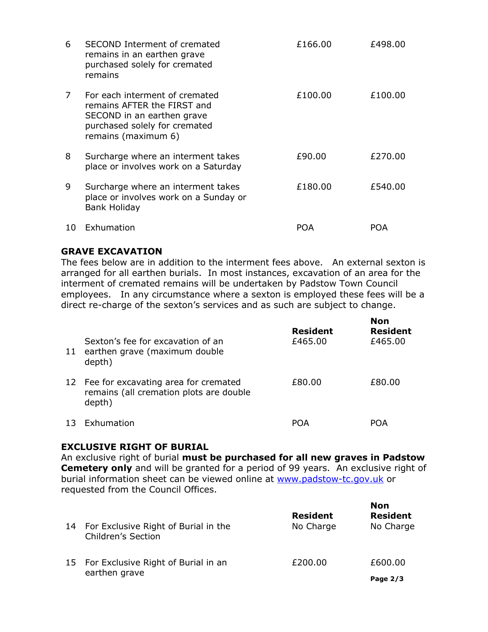| 6  | SECOND Interment of cremated<br>remains in an earthen grave<br>purchased solely for cremated<br>remains                                             | £166.00 | £498.00 |
|----|-----------------------------------------------------------------------------------------------------------------------------------------------------|---------|---------|
| 7  | For each interment of cremated<br>remains AFTER the FIRST and<br>SECOND in an earthen grave<br>purchased solely for cremated<br>remains (maximum 6) | £100.00 | £100.00 |
| 8  | Surcharge where an interment takes<br>place or involves work on a Saturday                                                                          | £90.00  | £270.00 |
| 9  | Surcharge where an interment takes<br>place or involves work on a Sunday or<br><b>Bank Holiday</b>                                                  | £180.00 | £540.00 |
| 10 | Exhumation                                                                                                                                          | POA     | POA     |

#### **GRAVE EXCAVATION**

The fees below are in addition to the interment fees above. An external sexton is arranged for all earthen burials. In most instances, excavation of an area for the interment of cremated remains will be undertaken by Padstow Town Council employees. In any circumstance where a sexton is employed these fees will be a direct re-charge of the sexton's services and as such are subject to change.

| 11 | Sexton's fee for excavation of an<br>earthen grave (maximum double<br>depth)                 | <b>Resident</b><br>£465.00 | <b>Non</b><br><b>Resident</b><br>£465.00 |
|----|----------------------------------------------------------------------------------------------|----------------------------|------------------------------------------|
|    | 12 Fee for excavating area for cremated<br>remains (all cremation plots are double<br>depth) | £80.00                     | £80.00                                   |
| 13 | Exhumation                                                                                   | POA                        | POA                                      |

#### **EXCLUSIVE RIGHT OF BURIAL**

An exclusive right of burial **must be purchased for all new graves in Padstow Cemetery only** and will be granted for a period of 99 years. An exclusive right of burial information sheet can be viewed online at [www.padstow-tc.gov.uk](http://www.padstow-tc.gov.uk/) or requested from the Council Offices.

| 14 | For Exclusive Right of Burial in the<br>Children's Section | <b>Resident</b><br>No Charge | <b>Non</b><br><b>Resident</b><br>No Charge |
|----|------------------------------------------------------------|------------------------------|--------------------------------------------|
|    | 15 For Exclusive Right of Burial in an<br>earthen grave    | £200.00                      | £600.00                                    |
|    |                                                            |                              | Page $2/3$                                 |